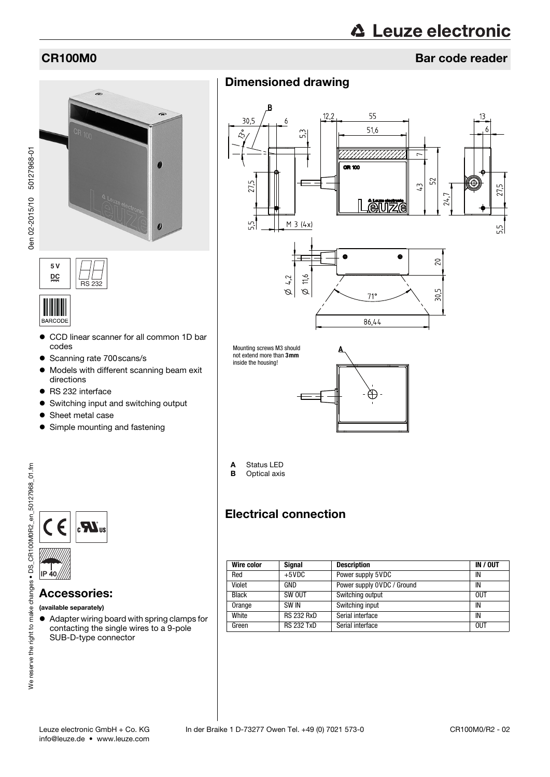### CR100M0 Bar code reader

# $\boldsymbol{\theta}$



**5 V DC** RS 232



- CCD linear scanner for all common 1D bar codes
- Scanning rate 700 scans/s
- Models with different scanning beam exit directions
- RS 232 interface
- Switching input and switching output
- Sheet metal case
- Simple mounting and fastening





### Accessories:

(available separately)

 Adapter wiring board with spring clamps for contacting the single wires to a 9-pole SUB-D-type connector

### Dimensioned drawing



- A Status LED
- **B** Optical axis

# Electrical connection

<span id="page-0-0"></span>

| Wire color   | <b>Signal</b>     | <b>Description</b>         | IN / OUT   |
|--------------|-------------------|----------------------------|------------|
| Red          | $+5$ VDC          | Power supply 5VDC          | IN         |
| Violet       | GND               | Power supply OVDC / Ground | IN         |
| <b>Black</b> | SW OUT            | Switching output           | <b>OUT</b> |
| Orange       | SW IN             | Switching input            | IN         |
| White        | <b>RS 232 RxD</b> | Serial interface           | IN         |
| Green        | <b>RS 232 TxD</b> | Serial interface           | <b>OUT</b> |